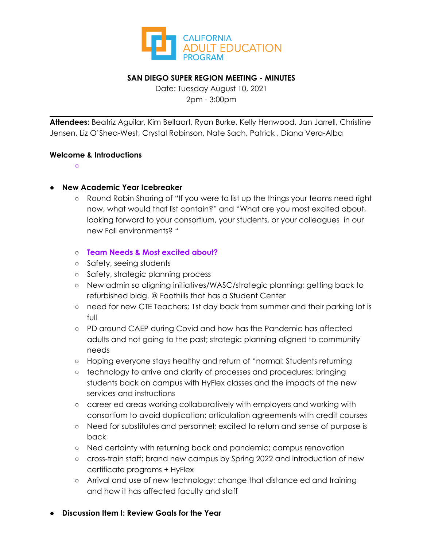

### **SAN DIEGO SUPER REGION MEETING - MINUTES**

Date: Tuesday August 10, 2021 2pm - 3:00pm

**Attendees:** Beatriz Aguilar, Kim Bellaart, Ryan Burke, Kelly Henwood, Jan Jarrell, Christine Jensen, Liz O'Shea-West, Crystal Robinson, Nate Sach, Patrick , Diana Vera-Alba

#### **Welcome & Introductions**

**○**

#### ● **New Academic Year Icebreaker**

- Round Robin Sharing of "If you were to list up the things your teams need right now, what would that list contain?" and "What are you most excited about, looking forward to your consortium, your students, or your colleagues in our new Fall environments? "
- **Team Needs & Most excited about?**
- Safety, seeing students
- Safety, strategic planning process
- New admin so aligning initiatives/WASC/strategic planning; getting back to refurbished bldg. @ Foothills that has a Student Center
- need for new CTE Teachers; 1st day back from summer and their parking lot is full
- PD around CAEP during Covid and how has the Pandemic has affected adults and not going to the past; strategic planning aligned to community needs
- Hoping everyone stays healthy and return of "normal: Students returning
- technology to arrive and clarity of processes and procedures; bringing students back on campus with HyFlex classes and the impacts of the new services and instructions
- career ed areas working collaboratively with employers and working with consortium to avoid duplication; articulation agreements with credit courses
- Need for substitutes and personnel; excited to return and sense of purpose is back
- Ned certainty with returning back and pandemic; campus renovation
- cross-train staff; brand new campus by Spring 2022 and introduction of new certificate programs + HyFlex
- Arrival and use of new technology; change that distance ed and training and how it has affected faculty and staff

### **● Discussion Item I: Review Goals for the Year**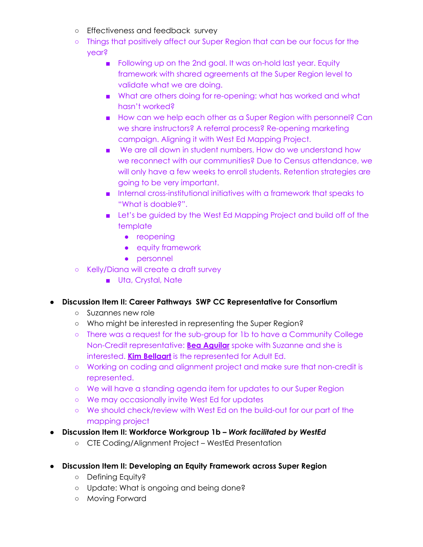- Effectiveness and feedback survey
- Things that positively affect our Super Region that can be our focus for the year?
	- Following up on the 2nd goal. It was on-hold last year. Equity framework with shared agreements at the Super Region level to validate what we are doing.
	- What are others doing for re-opening: what has worked and what hasn't worked?
	- How can we help each other as a Super Region with personnel? Can we share instructors? A referral process? Re-opening marketing campaign. Aligning it with West Ed Mapping Project.
	- We are all down in student numbers. How do we understand how we reconnect with our communities? Due to Census attendance, we will only have a few weeks to enroll students. Retention strategies are going to be very important.
	- Internal cross-institutional initiatives with a framework that speaks to "What is doable?".
	- Let's be guided by the West Ed Mapping Project and build off of the template
		- reopening
		- equity framework
		- personnel
- Kelly/Diana will create a draft survey
	- Uta, Crystal, Nate

## **● Discussion Item II: Career Pathways SWP CC Representative for Consortium**

- Suzannes new role
- Who might be interested in representing the Super Region?
- There was a request for the sub-group for 1b to have a Community College Non-Credit representative: **Bea Aguilar** spoke with Suzanne and she is interested. **Kim Bellaart** is the represented for Adult Ed.
- Working on coding and alignment project and make sure that non-credit is represented.
- We will have a standing agenda item for updates to our Super Region
- We may occasionally invite West Ed for updates
- We should check/review with West Ed on the build-out for our part of the mapping project
- **● Discussion Item II: Workforce Workgroup 1b –** *Work facilitated by WestEd*
	- CTE Coding/Alignment Project WestEd Presentation
- **● Discussion Item II: Developing an Equity Framework across Super Region**
	- Defining Equity?
	- Update: What is ongoing and being done?
	- Moving Forward